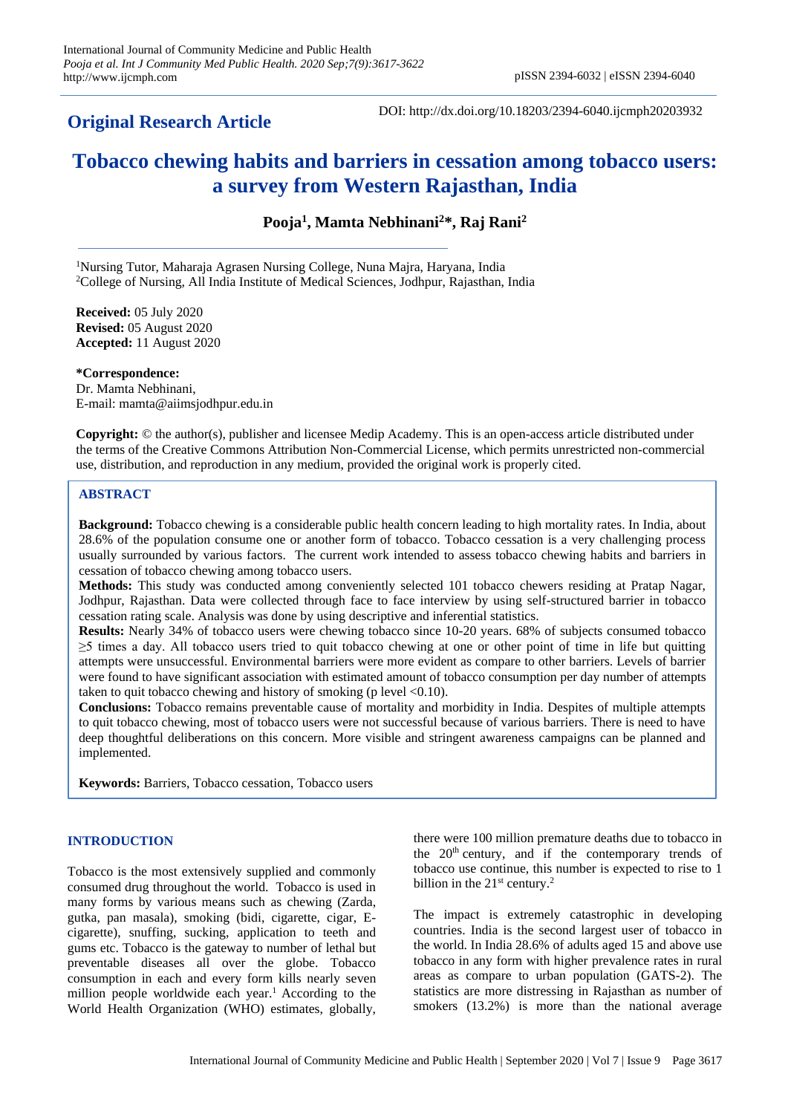# **Original Research Article**

DOI: http://dx.doi.org/10.18203/2394-6040.ijcmph20203932

# **Tobacco chewing habits and barriers in cessation among tobacco users: a survey from Western Rajasthan, India**

**Pooja<sup>1</sup> , Mamta Nebhinani<sup>2</sup>\*, Raj Rani<sup>2</sup>**

<sup>1</sup>Nursing Tutor, Maharaja Agrasen Nursing College, Nuna Majra, Haryana, India <sup>2</sup>College of Nursing, All India Institute of Medical Sciences, Jodhpur, Rajasthan, India

**Received:** 05 July 2020 **Revised:** 05 August 2020 **Accepted:** 11 August 2020

**\*Correspondence:**

Dr. Mamta Nebhinani, E-mail: mamta@aiimsjodhpur.edu.in

**Copyright:** © the author(s), publisher and licensee Medip Academy. This is an open-access article distributed under the terms of the Creative Commons Attribution Non-Commercial License, which permits unrestricted non-commercial use, distribution, and reproduction in any medium, provided the original work is properly cited.

## **ABSTRACT**

**Background:** Tobacco chewing is a considerable public health concern leading to high mortality rates. In India, about 28.6% of the population consume one or another form of tobacco. Tobacco cessation is a very challenging process usually surrounded by various factors. The current work intended to assess tobacco chewing habits and barriers in cessation of tobacco chewing among tobacco users.

**Methods:** This study was conducted among conveniently selected 101 tobacco chewers residing at Pratap Nagar, Jodhpur, Rajasthan. Data were collected through face to face interview by using self-structured barrier in tobacco cessation rating scale. Analysis was done by using descriptive and inferential statistics.

**Results:** Nearly 34% of tobacco users were chewing tobacco since 10-20 years. 68% of subjects consumed tobacco ≥5 times a day. All tobacco users tried to quit tobacco chewing at one or other point of time in life but quitting attempts were unsuccessful. Environmental barriers were more evident as compare to other barriers. Levels of barrier were found to have significant association with estimated amount of tobacco consumption per day number of attempts taken to quit tobacco chewing and history of smoking (p level  $\leq 0.10$ ).

**Conclusions:** Tobacco remains preventable cause of mortality and morbidity in India. Despites of multiple attempts to quit tobacco chewing, most of tobacco users were not successful because of various barriers. There is need to have deep thoughtful deliberations on this concern. More visible and stringent awareness campaigns can be planned and implemented.

**Keywords:** Barriers, Tobacco cessation, Tobacco users

# **INTRODUCTION**

Tobacco is the most extensively supplied and commonly consumed drug throughout the world. Tobacco is used in many forms by various means such as chewing (Zarda, gutka, pan masala), smoking (bidi, cigarette, cigar, Ecigarette), snuffing, sucking, application to teeth and gums etc. Tobacco is the gateway to number of lethal but preventable diseases all over the globe. Tobacco consumption in each and every form kills nearly seven million people worldwide each year.<sup>1</sup> According to the World Health Organization (WHO) estimates, globally,

there were 100 million premature deaths due to tobacco in the  $20<sup>th</sup>$  century, and if the contemporary trends of tobacco use continue, this number is expected to rise to 1 billion in the  $21<sup>st</sup>$  century.<sup>2</sup>

The impact is extremely catastrophic in developing countries. India is the second largest user of tobacco in the world. In India 28.6% of adults aged 15 and above use tobacco in any form with higher prevalence rates in rural areas as compare to urban population (GATS-2). The statistics are more distressing in Rajasthan as number of smokers (13.2%) is more than the national average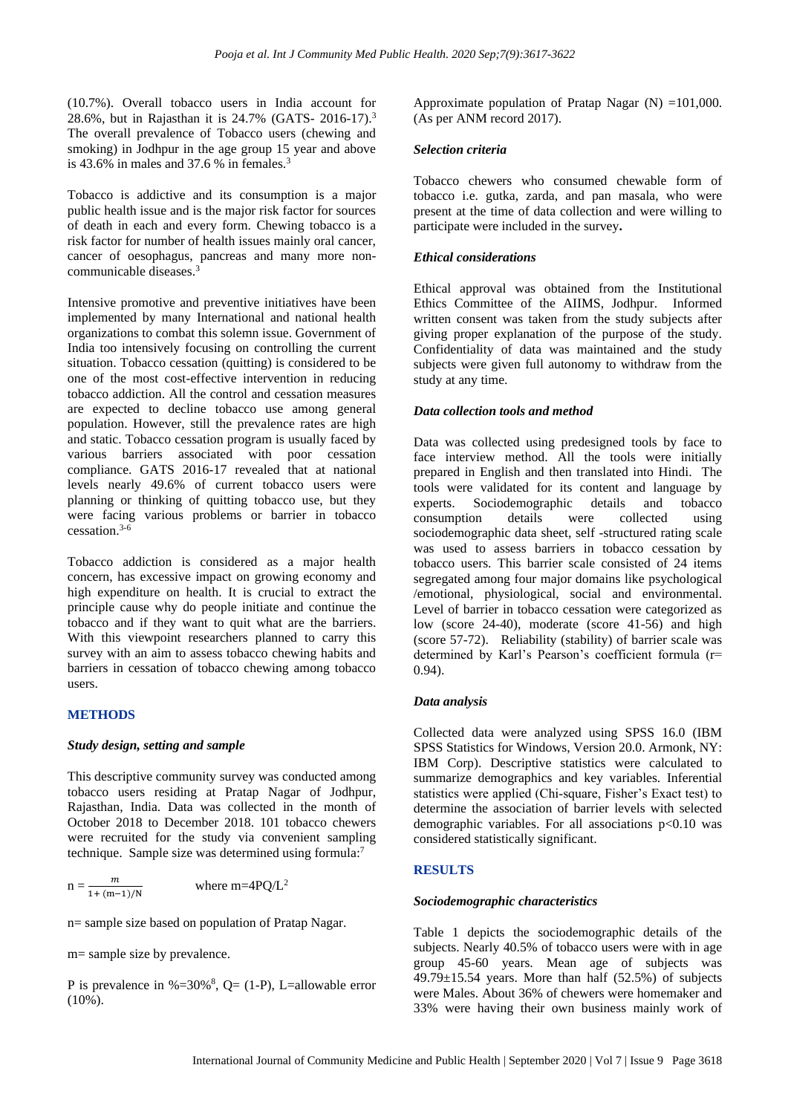(10.7%). Overall tobacco users in India account for 28.6%, but in Rajasthan it is 24.7% (GATS- 2016-17).<sup>3</sup> The overall prevalence of Tobacco users (chewing and smoking) in Jodhpur in the age group 15 year and above is 43.6% in males and 37.6 % in females.<sup>3</sup>

Tobacco is addictive and its consumption is a major public health issue and is the major risk factor for sources of death in each and every form. Chewing tobacco is a risk factor for number of health issues mainly oral cancer, cancer of oesophagus, pancreas and many more noncommunicable diseases.<sup>3</sup>

Intensive promotive and preventive initiatives have been implemented by many International and national health organizations to combat this solemn issue. Government of India too intensively focusing on controlling the current situation. Tobacco cessation (quitting) is considered to be one of the most cost-effective intervention in reducing tobacco addiction. All the control and cessation measures are expected to decline tobacco use among general population. However, still the prevalence rates are high and static. Tobacco cessation program is usually faced by various barriers associated with poor cessation compliance. GATS 2016-17 revealed that at national levels nearly 49.6% of current tobacco users were planning or thinking of quitting tobacco use, but they were facing various problems or barrier in tobacco cessation.3-6

Tobacco addiction is considered as a major health concern, has excessive impact on growing economy and high expenditure on health. It is crucial to extract the principle cause why do people initiate and continue the tobacco and if they want to quit what are the barriers. With this viewpoint researchers planned to carry this survey with an aim to assess tobacco chewing habits and barriers in cessation of tobacco chewing among tobacco users.

#### **METHODS**

#### *Study design, setting and sample*

This descriptive community survey was conducted among tobacco users residing at Pratap Nagar of Jodhpur, Rajasthan, India. Data was collected in the month of October 2018 to December 2018. 101 tobacco chewers were recruited for the study via convenient sampling technique. Sample size was determined using formula:<sup>7</sup>

$$
n = \frac{m}{1 + (m-1)/N}
$$
 where m=4PQ/L<sup>2</sup>

n= sample size based on population of Pratap Nagar.

m= sample size by prevalence.

P is prevalence in %= $30\%$ <sup>8</sup>, Q= (1-P), L=allowable error (10%).

Approximate population of Pratap Nagar  $(N) = 101,000$ . (As per ANM record 2017).

#### *Selection criteria*

Tobacco chewers who consumed chewable form of tobacco i.e. gutka, zarda, and pan masala, who were present at the time of data collection and were willing to participate were included in the survey**.**

#### *Ethical considerations*

Ethical approval was obtained from the Institutional Ethics Committee of the AIIMS, Jodhpur. Informed written consent was taken from the study subjects after giving proper explanation of the purpose of the study. Confidentiality of data was maintained and the study subjects were given full autonomy to withdraw from the study at any time.

## *Data collection tools and method*

Data was collected using predesigned tools by face to face interview method. All the tools were initially prepared in English and then translated into Hindi. The tools were validated for its content and language by experts. Sociodemographic details and tobacco consumption details were collected using sociodemographic data sheet, self -structured rating scale was used to assess barriers in tobacco cessation by tobacco users. This barrier scale consisted of 24 items segregated among four major domains like psychological /emotional, physiological, social and environmental. Level of barrier in tobacco cessation were categorized as low (score 24-40), moderate (score 41-56) and high (score 57-72). Reliability (stability) of barrier scale was determined by Karl's Pearson's coefficient formula (r= 0.94).

#### *Data analysis*

Collected data were analyzed using SPSS 16.0 (IBM SPSS Statistics for Windows, Version 20.0. Armonk, NY: IBM Corp). Descriptive statistics were calculated to summarize demographics and key variables. Inferential statistics were applied (Chi‑square, Fisher's Exact test) to determine the association of barrier levels with selected demographic variables. For all associations  $p<0.10$  was considered statistically significant.

#### **RESULTS**

#### *Sociodemographic characteristics*

Table 1 depicts the sociodemographic details of the subjects. Nearly 40.5% of tobacco users were with in age group 45-60 years. Mean age of subjects was  $49.79 \pm 15.54$  years. More than half (52.5%) of subjects were Males. About 36% of chewers were homemaker and 33% were having their own business mainly work of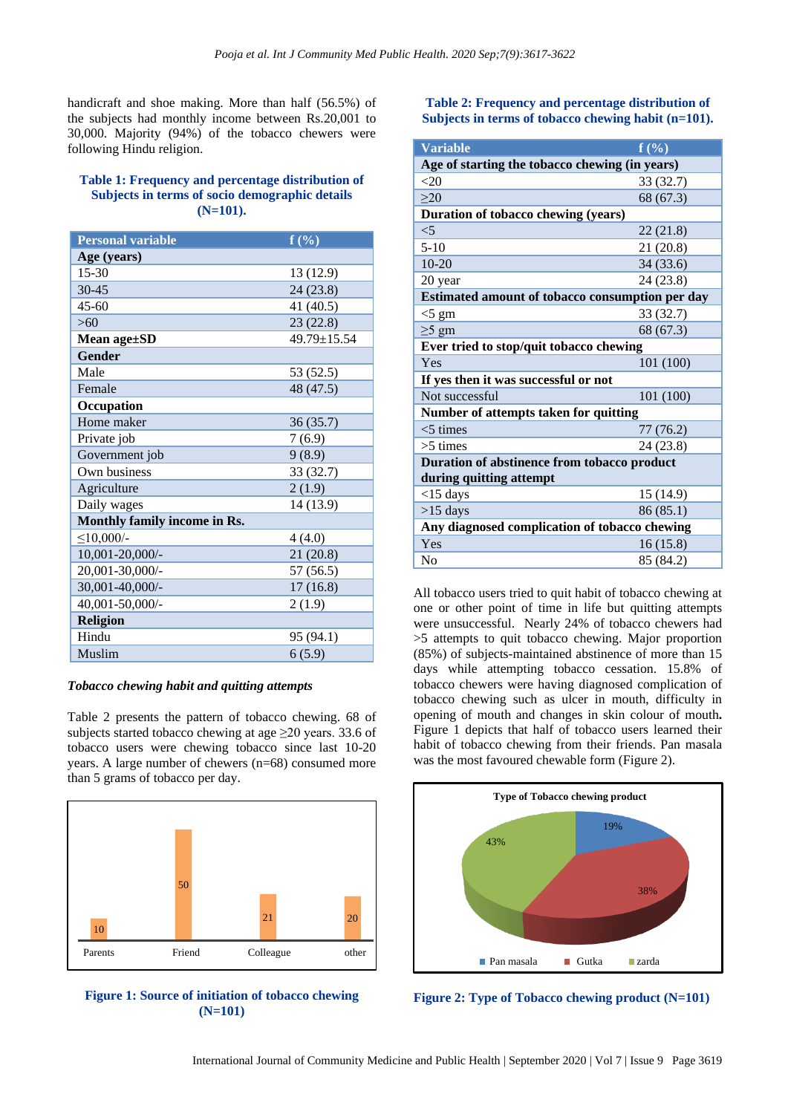handicraft and shoe making. More than half (56.5%) of the subjects had monthly income between Rs.20,001 to 30,000. Majority (94%) of the tobacco chewers were following Hindu religion.

## **Table 1: Frequency and percentage distribution of Subjects in terms of socio demographic details (N=101).**

| <b>Personal variable</b>     | $f(\%)$     |  |  |
|------------------------------|-------------|--|--|
| Age (years)                  |             |  |  |
| $15 - 30$                    | 13 (12.9)   |  |  |
| 30-45                        | 24 (23.8)   |  |  |
| $45 - 60$                    | 41 (40.5)   |  |  |
| >60                          | 23(22.8)    |  |  |
| Mean age±SD                  | 49.79±15.54 |  |  |
| <b>Gender</b>                |             |  |  |
| Male                         | 53 (52.5)   |  |  |
| Female                       | 48 (47.5)   |  |  |
| Occupation                   |             |  |  |
| Home maker                   | 36(35.7)    |  |  |
| Private job                  | 7(6.9)      |  |  |
| Government job               | 9(8.9)      |  |  |
| Own business                 | 33 (32.7)   |  |  |
| Agriculture                  | 2(1.9)      |  |  |
| Daily wages                  | 14 (13.9)   |  |  |
| Monthly family income in Rs. |             |  |  |
| $\leq$ 10,000/-              | 4(4.0)      |  |  |
| 10,001-20,000/-              | 21(20.8)    |  |  |
| 20,001-30,000/-              | 57 (56.5)   |  |  |
| 30,001-40,000/-              | 17(16.8)    |  |  |
| 40,001-50,000/-              | 2(1.9)      |  |  |
| <b>Religion</b>              |             |  |  |
| Hindu                        | 95 (94.1)   |  |  |
| Muslim                       | 6(5.9)      |  |  |

#### *Tobacco chewing habit and quitting attempts*

Table 2 presents the pattern of tobacco chewing. 68 of subjects started tobacco chewing at age  $\geq$ 20 years. 33.6 of tobacco users were chewing tobacco since last 10-20 years. A large number of chewers (n=68) consumed more than 5 grams of tobacco per day.



**Figure 1: Source of initiation of tobacco chewing (N=101)**

**Table 2: Frequency and percentage distribution of Subjects in terms of tobacco chewing habit (n=101).**

| <b>Variable</b>                                 | $f(\%)$   |  |  |  |  |
|-------------------------------------------------|-----------|--|--|--|--|
| Age of starting the tobacco chewing (in years)  |           |  |  |  |  |
| $<$ 20                                          | 33 (32.7) |  |  |  |  |
| $\geq$ 20                                       | 68 (67.3) |  |  |  |  |
| Duration of tobacco chewing (years)             |           |  |  |  |  |
| $<$ 5                                           | 22(21.8)  |  |  |  |  |
| $5-10$                                          | 21 (20.8) |  |  |  |  |
| $10-20$                                         | 34 (33.6) |  |  |  |  |
| 20 year                                         | 24 (23.8) |  |  |  |  |
| Estimated amount of tobacco consumption per day |           |  |  |  |  |
| $<$ 5 gm                                        | 33 (32.7) |  |  |  |  |
| $\geq$ 5 gm                                     | 68 (67.3) |  |  |  |  |
| Ever tried to stop/quit tobacco chewing         |           |  |  |  |  |
| Yes                                             | 101 (100) |  |  |  |  |
| If yes then it was successful or not            |           |  |  |  |  |
| Not successful                                  | 101 (100) |  |  |  |  |
| Number of attempts taken for quitting           |           |  |  |  |  |
| $<$ 5 times                                     | 77 (76.2) |  |  |  |  |
| $>5$ times                                      | 24 (23.8) |  |  |  |  |
| Duration of abstinence from tobacco product     |           |  |  |  |  |
| during quitting attempt                         |           |  |  |  |  |
| $<$ 15 days                                     | 15 (14.9) |  |  |  |  |
| $>15$ days                                      | 86 (85.1) |  |  |  |  |
| Any diagnosed complication of tobacco chewing   |           |  |  |  |  |
| Yes                                             | 16(15.8)  |  |  |  |  |
| No                                              | 85 (84.2) |  |  |  |  |

All tobacco users tried to quit habit of tobacco chewing at one or other point of time in life but quitting attempts were unsuccessful. Nearly 24% of tobacco chewers had >5 attempts to quit tobacco chewing. Major proportion (85%) of subjects-maintained abstinence of more than 15 days while attempting tobacco cessation. 15.8% of tobacco chewers were having diagnosed complication of tobacco chewing such as ulcer in mouth, difficulty in opening of mouth and changes in skin colour of mouth**.**  Figure 1 depicts that half of tobacco users learned their habit of tobacco chewing from their friends. Pan masala was the most favoured chewable form (Figure 2).



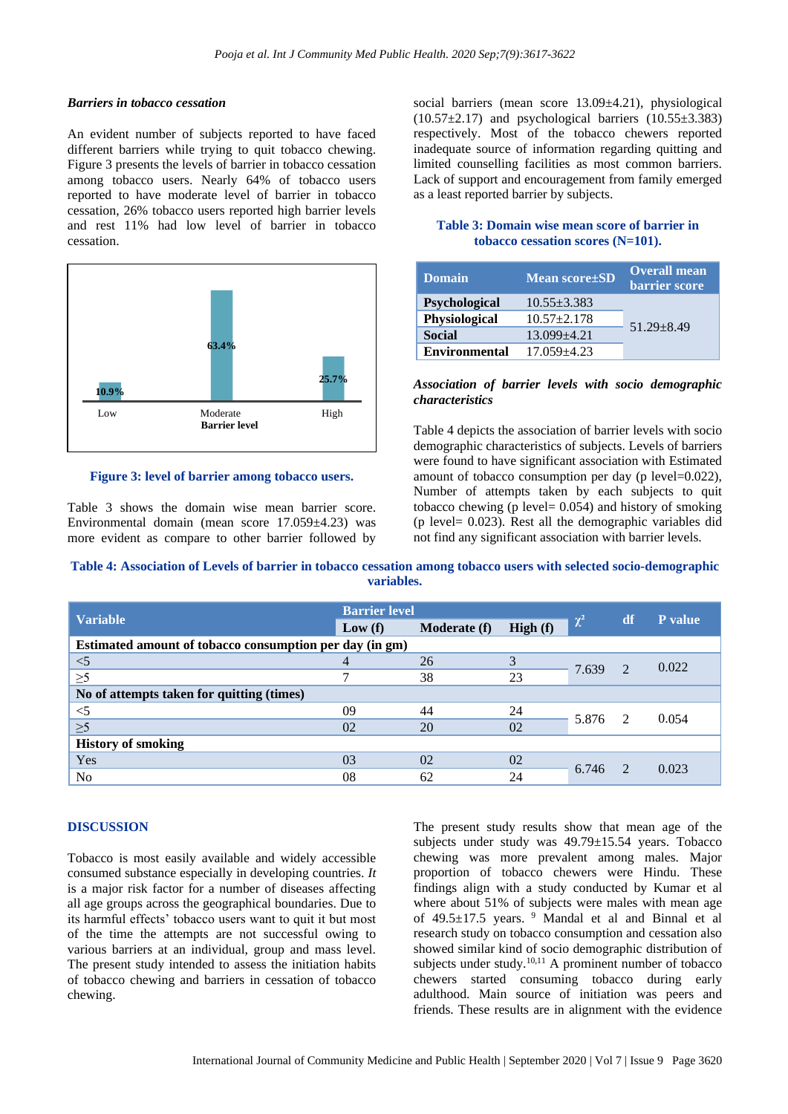## *Barriers in tobacco cessation*

An evident number of subjects reported to have faced different barriers while trying to quit tobacco chewing. Figure 3 presents the levels of barrier in tobacco cessation among tobacco users. Nearly 64% of tobacco users reported to have moderate level of barrier in tobacco cessation, 26% tobacco users reported high barrier levels and rest 11% had low level of barrier in tobacco cessation.



#### **Figure 3: level of barrier among tobacco users.**

Table 3 shows the domain wise mean barrier score. Environmental domain (mean score 17.059±4.23) was more evident as compare to other barrier followed by

social barriers (mean score 13.09±4.21), physiological  $(10.57\pm2.17)$  and psychological barriers  $(10.55\pm3.383)$ respectively. Most of the tobacco chewers reported inadequate source of information regarding quitting and limited counselling facilities as most common barriers. Lack of support and encouragement from family emerged as a least reported barrier by subjects.

#### **Table 3: Domain wise mean score of barrier in tobacco cessation scores (N=101).**

| <b>Domain</b>        | <b>Mean score</b> ±SD | <b>Overall mean</b><br>barrier score |  |  |  |
|----------------------|-----------------------|--------------------------------------|--|--|--|
| Psychological        | $10.55 + 3.383$       |                                      |  |  |  |
| <b>Physiological</b> | $10.57 + 2.178$       | $51.29 + 8.49$                       |  |  |  |
| <b>Social</b>        | $13.099 + 4.21$       |                                      |  |  |  |
| <b>Environmental</b> | $17.059 + 4.23$       |                                      |  |  |  |

## *Association of barrier levels with socio demographic characteristics*

Table 4 depicts the association of barrier levels with socio demographic characteristics of subjects. Levels of barriers were found to have significant association with Estimated amount of tobacco consumption per day (p level=0.022), Number of attempts taken by each subjects to quit tobacco chewing (p level=  $0.054$ ) and history of smoking (p level= 0.023). Rest all the demographic variables did not find any significant association with barrier levels.

| Table 4: Association of Levels of barrier in tobacco cessation among tobacco users with selected socio-demographic |
|--------------------------------------------------------------------------------------------------------------------|
| variables.                                                                                                         |

| <b>Variable</b>                                         | <b>Barrier level</b> |                     |         |          |               |                |  |  |
|---------------------------------------------------------|----------------------|---------------------|---------|----------|---------------|----------------|--|--|
|                                                         | Low(f)               | <b>Moderate (f)</b> | High(f) | $\chi^2$ | df            | <b>P</b> value |  |  |
| Estimated amount of tobacco consumption per day (in gm) |                      |                     |         |          |               |                |  |  |
| $<$ 5                                                   | 4                    | 26                  | 3       | 7.639    | $\mathcal{D}$ | 0.022          |  |  |
| $\geq 5$                                                |                      | 38                  | 23      |          |               |                |  |  |
| No of attempts taken for quitting (times)               |                      |                     |         |          |               |                |  |  |
| $<$ 5                                                   | 09                   | 44                  | 24      | 5.876    | 2             | 0.054          |  |  |
| $\geq 5$                                                | 02                   | 20                  | 02      |          |               |                |  |  |
| <b>History of smoking</b>                               |                      |                     |         |          |               |                |  |  |
| Yes                                                     | 03                   | 02                  | 02      | 6.746    | $\mathcal{L}$ | 0.023          |  |  |
| N <sub>o</sub>                                          | 08                   | 62                  | 24      |          |               |                |  |  |

#### **DISCUSSION**

Tobacco is most easily available and widely accessible consumed substance especially in developing countries. *It*  is a major risk factor for a number of diseases affecting all age groups across the geographical boundaries. Due to its harmful effects' tobacco users want to quit it but most of the time the attempts are not successful owing to various barriers at an individual, group and mass level. The present study intended to assess the initiation habits of tobacco chewing and barriers in cessation of tobacco chewing.

The present study results show that mean age of the subjects under study was 49.79±15.54 years. Tobacco chewing was more prevalent among males. Major proportion of tobacco chewers were Hindu. These findings align with a study conducted by Kumar et al where about 51% of subjects were males with mean age of 49.5±17.5 years. <sup>9</sup> Mandal et al and Binnal et al research study on tobacco consumption and cessation also showed similar kind of socio demographic distribution of subjects under study.<sup>10,11</sup> A prominent number of tobacco chewers started consuming tobacco during early adulthood. Main source of initiation was peers and friends. These results are in alignment with the evidence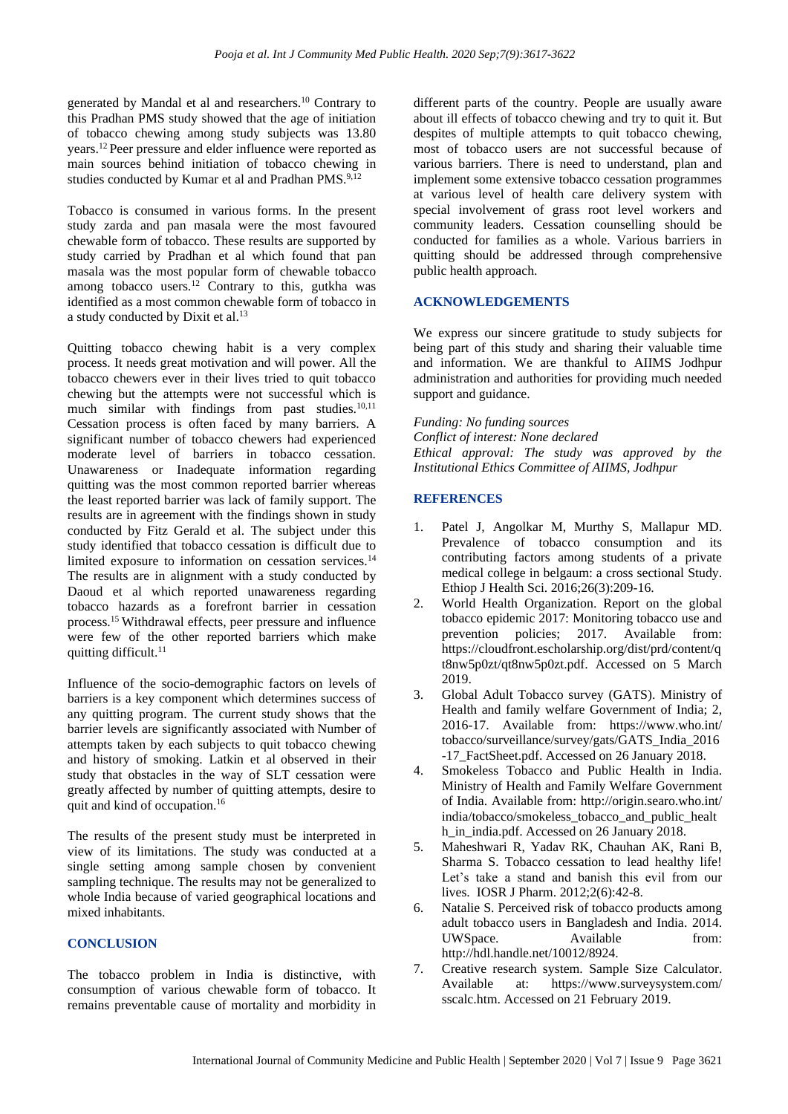generated by Mandal et al and researchers.<sup>10</sup> Contrary to this Pradhan PMS study showed that the age of initiation of tobacco chewing among study subjects was 13.80 years.<sup>12</sup> Peer pressure and elder influence were reported as main sources behind initiation of tobacco chewing in studies conducted by Kumar et al and Pradhan PMS.<sup>9,12</sup>

Tobacco is consumed in various forms. In the present study zarda and pan masala were the most favoured chewable form of tobacco. These results are supported by study carried by Pradhan et al which found that pan masala was the most popular form of chewable tobacco among tobacco users.<sup>12</sup> Contrary to this, gutkha was identified as a most common chewable form of tobacco in a study conducted by Dixit et al.<sup>13</sup>

Quitting tobacco chewing habit is a very complex process. It needs great motivation and will power. All the tobacco chewers ever in their lives tried to quit tobacco chewing but the attempts were not successful which is much similar with findings from past studies.<sup>10,11</sup> Cessation process is often faced by many barriers. A significant number of tobacco chewers had experienced moderate level of barriers in tobacco cessation. Unawareness or Inadequate information regarding quitting was the most common reported barrier whereas the least reported barrier was lack of family support. The results are in agreement with the findings shown in study conducted by Fitz Gerald et al. The subject under this study identified that tobacco cessation is difficult due to limited exposure to information on cessation services.<sup>14</sup> The results are in alignment with a study conducted by Daoud et al which reported unawareness regarding tobacco hazards as a forefront barrier in cessation process.<sup>15</sup>Withdrawal effects, peer pressure and influence were few of the other reported barriers which make quitting difficult.<sup>11</sup>

Influence of the socio-demographic factors on levels of barriers is a key component which determines success of any quitting program. The current study shows that the barrier levels are significantly associated with Number of attempts taken by each subjects to quit tobacco chewing and history of smoking. Latkin et al observed in their study that obstacles in the way of SLT cessation were greatly affected by number of quitting attempts, desire to quit and kind of occupation.<sup>16</sup> 

The results of the present study must be interpreted in view of its limitations. The study was conducted at a single setting among sample chosen by convenient sampling technique. The results may not be generalized to whole India because of varied geographical locations and mixed inhabitants.

# **CONCLUSION**

The tobacco problem in India is distinctive, with consumption of various chewable form of tobacco. It remains preventable cause of mortality and morbidity in

different parts of the country. People are usually aware about ill effects of tobacco chewing and try to quit it. But despites of multiple attempts to quit tobacco chewing, most of tobacco users are not successful because of various barriers. There is need to understand, plan and implement some extensive tobacco cessation programmes at various level of health care delivery system with special involvement of grass root level workers and community leaders. Cessation counselling should be conducted for families as a whole. Various barriers in quitting should be addressed through comprehensive public health approach.

# **ACKNOWLEDGEMENTS**

We express our sincere gratitude to study subjects for being part of this study and sharing their valuable time and information. We are thankful to AIIMS Jodhpur administration and authorities for providing much needed support and guidance.

*Funding: No funding sources Conflict of interest: None declared Ethical approval: The study was approved by the Institutional Ethics Committee of AIIMS, Jodhpur*

# **REFERENCES**

- 1. Patel J, Angolkar M, Murthy S, Mallapur MD. Prevalence of tobacco consumption and its contributing factors among students of a private medical college in belgaum: a cross sectional Study. Ethiop J Health Sci. 2016;26(3):209-16.
- 2. World Health Organization. Report on the global tobacco epidemic 2017: Monitoring tobacco use and prevention policies; 2017. Available from: https://cloudfront.escholarship.org/dist/prd/content/q t8nw5p0zt/qt8nw5p0zt.pdf. Accessed on 5 March 2019.
- 3. Global Adult Tobacco survey (GATS). Ministry of Health and family welfare Government of India; 2, 2016-17. Available from: https://www.who.int/ tobacco/surveillance/survey/gats/GATS\_India\_2016 -17\_FactSheet.pdf. Accessed on 26 January 2018.
- 4. Smokeless Tobacco and Public Health in India. Ministry of Health and Family Welfare Government of India. Available from: http://origin.searo.who.int/ india/tobacco/smokeless\_tobacco\_and\_public\_healt h in india.pdf. Accessed on 26 January 2018.
- 5. Maheshwari R, Yadav RK, Chauhan AK, Rani B, Sharma S. Tobacco cessation to lead healthy life! Let's take a stand and banish this evil from our lives. IOSR J Pharm. 2012;2(6):42-8.
- 6. Natalie S. Perceived risk of tobacco products among adult tobacco users in Bangladesh and India. 2014. UWSpace. Available from: http://hdl.handle.net/10012/8924.
- 7. Creative research system. Sample Size Calculator. Available at: https://www.surveysystem.com/ sscalc.htm. Accessed on 21 February 2019.